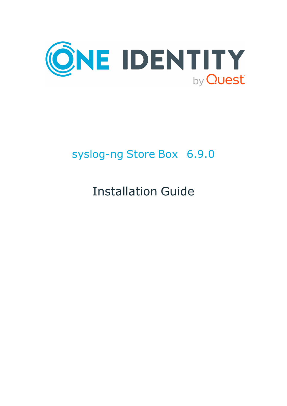

# syslog-ng Store Box 6.9.0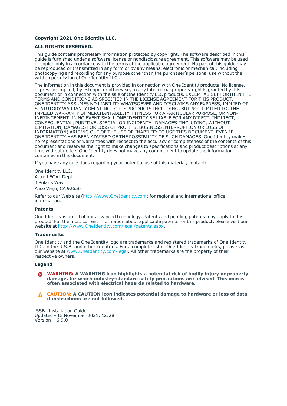#### **Copyright 2021 One Identity LLC.**

#### **ALL RIGHTS RESERVED.**

This guide contains proprietary information protected by copyright. The software described in this guide is furnished under a software license or nondisclosure agreement. This software may be used or copied only in accordance with the terms of the applicable agreement. No part of this guide may be reproduced or transmitted in any form or by any means, electronic or mechanical, including photocopying and recording for any purpose other than the purchaser's personal use without the written permission of One Identity LLC .

The information in this document is provided in connection with One Identity products. No license, express or implied, by estoppel or otherwise, to any intellectual property right is granted by this document or in connection with the sale of One Identity LLC products. EXCEPT AS SET FORTH IN THE TERMS AND CONDITIONS AS SPECIFIED IN THE LICENSE AGREEMENT FOR THIS PRODUCT, ONE IDENTITY ASSUMES NO LIABILITY WHATSOEVER AND DISCLAIMS ANY EXPRESS, IMPLIED OR STATUTORY WARRANTY RELATING TO ITS PRODUCTS INCLUDING, BUT NOT LIMITED TO, THE IMPLIED WARRANTY OF MERCHANTABILITY, FITNESS FOR A PARTICULAR PURPOSE, OR NON-INFRINGEMENT. IN NO EVENT SHALL ONE IDENTITY BE LIABLE FOR ANY DIRECT, INDIRECT, CONSEQUENTIAL, PUNITIVE, SPECIAL OR INCIDENTAL DAMAGES (INCLUDING, WITHOUT LIMITATION, DAMAGES FOR LOSS OF PROFITS, BUSINESS INTERRUPTION OR LOSS OF INFORMATION) ARISING OUT OF THE USE OR INABILITY TO USE THIS DOCUMENT, EVEN IF ONE IDENTITY HAS BEEN ADVISED OF THE POSSIBILITY OF SUCH DAMAGES. One Identity makes no representations or warranties with respect to the accuracy or completeness of the contents of this document and reserves the right to make changes to specifications and product descriptions at any time without notice. One Identity does not make any commitment to update the information contained in this document.

If you have any questions regarding your potential use of this material, contact:

One Identity LLC. Attn: LEGAL Dept 4 Polaris Way Aliso Viejo, CA 92656

Refer to our Web site [\(http://www.OneIdentity.com](http://www.oneidentity.com/)) for regional and international office information.

#### **Patents**

One Identity is proud of our advanced technology. Patents and pending patents may apply to this product. For the most current information about applicable patents for this product, please visit our website at [http://www.OneIdentity.com/legal/patents.aspx.](http://www.oneidentity.com/legal/patents.aspx)

#### **Trademarks**

One Identity and the One Identity logo are trademarks and registered trademarks of One Identity LLC. in the U.S.A. and other countries. For a complete list of One Identity trademarks, please visit our website at [www.OneIdentity.com/legal](http://www.oneidentity.com/legal). All other trademarks are the property of their respective owners.

#### **Legend**

**WARNING: A WARNING icon highlights a potential risk of bodily injury or property** œ **damage, for which industry-standard safety precautions are advised. This icon is often associated with electrical hazards related to hardware.**

**CAUTION: A CAUTION icon indicates potential damage to hardware or loss of data if instructions are not followed.**

 SSB Installation Guide Updated - 15 November 2021, 12:28 Version - 6.9.0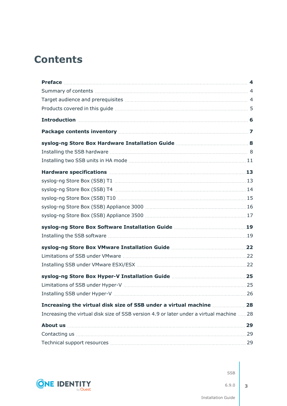## **Contents**

| Increasing the virtual disk size of SSB version 4.9 or later under a virtual machine 28 |  |
|-----------------------------------------------------------------------------------------|--|
|                                                                                         |  |
|                                                                                         |  |
|                                                                                         |  |

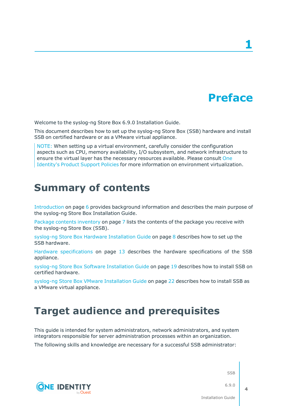## **Preface**

**1**

<span id="page-3-0"></span>Welcome to the syslog-ng Store Box 6.9.0 Installation Guide.

This document describes how to set up the syslog-ng Store Box (SSB) hardware and install SSB on certified hardware or as a VMware virtual appliance.

NOTE: When setting up a virtual environment, carefully consider the configuration aspects such as CPU, memory availability, I/O subsystem, and network infrastructure to ensure the virtual layer has the necessary resources available. Please consult [One](https://support.oneidentity.com/essentials/support-guide#tab3) [Identity's](https://support.oneidentity.com/essentials/support-guide#tab3) Product Support Policies for more information on environment virtualization.

### <span id="page-3-1"></span>**Summary of contents**

**CONE IDENTITY** 

[Introduction](#page-5-0) on page 6 provides background information and describes the main purpose of the syslog-ng Store Box Installation Guide.

Package contents [inventory](#page-6-0) on page 7 lists the contents of the package you receive with the syslog-ng Store Box (SSB).

syslog-ng Store Box Hardware [Installation](#page-7-0) Guide on page 8 describes how to set up the SSB hardware.

Hardware [specifications](#page-12-0) on page 13 describes the hardware specifications of the SSB appliance.

syslog-ng Store Box Software [Installation](#page-18-0) Guide on page 19 describes how to install SSB on certified hardware.

syslog-ng Store Box VMware [Installation](#page-21-0) Guide on page 22 describes how to install SSB as a VMware virtual appliance.

### <span id="page-3-2"></span>**Target audience and prerequisites**

This guide is intended for system administrators, network administrators, and system integrators responsible for server administration processes within an organization.

The following skills and knowledge are necessary for a successful SSB administrator:

SSB

6.9.0

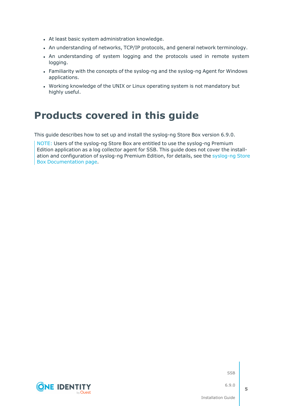- At least basic system administration knowledge.
- An understanding of networks, TCP/IP protocols, and general network terminology.
- An understanding of system logging and the protocols used in remote system logging.
- Familiarity with the concepts of the syslog-ng and the syslog-ng Agent for Windows applications.
- Working knowledge of the UNIX or Linux operating system is not mandatory but highly useful.

### <span id="page-4-0"></span>**Products covered in this guide**

This guide describes how to set up and install the syslog-ng Store Box version 6.9.0.

NOTE: Users of the syslog-ng Store Box are entitled to use the syslog-ng Premium Edition application as a log collector agent for SSB. This guide does not cover the installation and configuration of syslog-ng Premium Edition, for details, see the [syslog-ng](https://support.oneidentity.com/syslog-ng-store-box/technical-documents) Store Box [Documentation](https://support.oneidentity.com/syslog-ng-store-box/technical-documents) page.

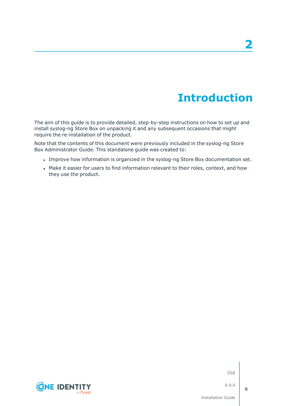## **Introduction**

<span id="page-5-0"></span>The aim of this guide is to provide detailed, step-by-step instructions on how to set up and install syslog-ng Store Box on unpacking it and any subsequent occasions that might require the re-installation of the product.

Note that the contents of this document were previously included in the syslog-ng Store Box Administrator Guide. This standalone guide was created to:

- <sup>l</sup> Improve how information is organized in the syslog-ng Store Box documentation set.
- Make it easier for users to find information relevant to their roles, context, and how they use the product.

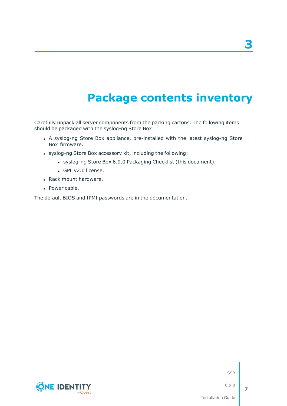## **Package contents inventory**

<span id="page-6-0"></span>Carefully unpack all server components from the packing cartons. The following items should be packaged with the syslog-ng Store Box:

- A syslog-ng Store Box appliance, pre-installed with the latest syslog-ng Store Box firmware.
- syslog-ng Store Box accessory kit, including the following:
	- syslog-ng Store Box 6.9.0 Packaging Checklist (this document).
	- GPL v2.0 license.
- Rack mount hardware.
- Power cable.

The default BIOS and IPMI passwords are in the documentation.

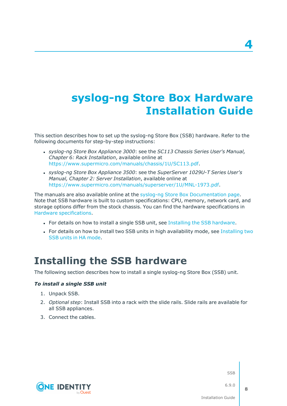## <span id="page-7-0"></span>**syslog-ng Store Box Hardware Installation Guide**

This section describes how to set up the syslog-ng Store Box (SSB) hardware. Refer to the following documents for step-by-step instructions:

- <sup>l</sup> *syslog-ng Store Box Appliance 3000*: see the *SC113 Chassis Series User's Manual, Chapter 6: Rack Installation*, available online at [https://www.supermicro.com/manuals/chassis/1U/SC113.pdf.](https://www.supermicro.com/manuals/chassis/1U/SC113.pdf)
- <sup>l</sup> *syslog-ng Store Box Appliance 3500*: see the *SuperServer 1029U-T Series User's Manual, Chapter 2: Server Installation*, available online at <https://www.supermicro.com/manuals/superserver/1U/MNL-1973.pdf>.

The manuals are also available online at the syslog-ng Store Box [Documentation](https://support.oneidentity.com/syslog-ng-store-box/technical-documents) page. Note that SSB hardware is built to custom specifications: CPU, memory, network card, and storage options differ from the stock chassis. You can find the hardware specifications in Hardware [specifications.](#page-12-0)

- For details on how to install a single SSB unit, see Installing the SSB [hardware.](#page-7-1)
- For details on how to install two SSB units in high availability mode, see [Installing](#page-10-0) two SSB units in HA [mode.](#page-10-0)

### <span id="page-7-1"></span>**Installing the SSB hardware**

The following section describes how to install a single syslog-ng Store Box (SSB) unit.

#### *To install a single SSB unit*

- 1. Unpack SSB.
- 2. *Optional step*: Install SSB into a rack with the slide rails. Slide rails are available for all SSB appliances.
- 3. Connect the cables.



SSB

6.9.0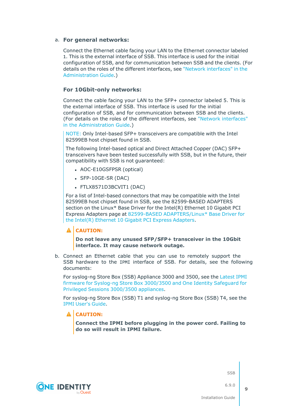#### a. **For general networks:**

Connect the Ethernet cable facing your LAN to the Ethernet connector labeled 1. This is the external interface of SSB. This interface is used for the initial configuration of SSB, and for communication between SSB and the clients. (For details on the roles of the different interfaces, see "Network [interfaces"](https://support.oneidentity.com/technical-documents/syslog-ng-store-box/6.9.0/administration-guide/the-concepts-of-ssb/network-interfaces/) in the [Administration](https://support.oneidentity.com/technical-documents/syslog-ng-store-box/6.9.0/administration-guide/the-concepts-of-ssb/network-interfaces/) Guide.)

#### **For 10Gbit-only networks:**

Connect the cable facing your LAN to the SFP+ connector labeled 5. This is the external interface of SSB. This interface is used for the initial configuration of SSB, and for communication between SSB and the clients. (For details on the roles of the different interfaces, see "Network [interfaces"](https://support.oneidentity.com/technical-documents/syslog-ng-store-box/6.9.0/administration-guide/the-concepts-of-ssb/network-interfaces/) in the [Administration](https://support.oneidentity.com/technical-documents/syslog-ng-store-box/6.9.0/administration-guide/the-concepts-of-ssb/network-interfaces/) Guide.)

NOTE: Only Intel-based SFP+ transceivers are compatible with the Intel 82599EB host chipset found in SSB.

The following Intel-based optical and Direct Attached Copper (DAC) SFP+ transceivers have been tested successfully with SSB, but in the future, their compatibility with SSB is not guaranteed:

- AOC-E10GSFPSR (optical)
- $\cdot$  SFP-10GE-SR (DAC)
- FTLX8571D3BCVIT1 (DAC)

For a list of Intel-based connectors that may be compatible with the Intel 82599EB host chipset found in SSB, see the 82599-BASED ADAPTERS section on the Linux\* Base Driver for the Intel(R) Ethernet 10 Gigabit PCI Express Adapters page at 82599-BASED [ADAPTERS/Linux\\*](https://www.kernel.org/doc/html/v4.20/networking/ixgbe.html) Base Driver for the Intel(R) Ethernet 10 Gigabit PCI Express [Adapters.](https://www.kernel.org/doc/html/v4.20/networking/ixgbe.html)

#### **A** CAUTION:

**Do not leave any unused SFP/SFP+ transceiver in the 10Gbit interface. It may cause network outage.**

b. Connect an Ethernet cable that you can use to remotely support the SSB hardware to the IPMI interface of SSB. For details, see the following documents:

For syslog-ng Store Box (SSB) Appliance 3000 and 3500, see the [Latest](https://support.oneidentity.com/kb/312276/) IPMI firmware for Syslog-ng Store Box [3000/3500](https://support.oneidentity.com/kb/312276/) and One Identity Safeguard for Privileged Sessions [3000/3500](https://support.oneidentity.com/kb/312276/) appliances.

For syslog-ng Store Box (SSB) T1 and syslog-ng Store Box (SSB) T4, see the IPMI [User's](https://www.supermicro.com/manuals/other/IPMI_Users_Guide.pdf) Guide.

#### **A** CAUTION:

**Connect the IPMI before plugging in the power cord. Failing to do so will result in IPMI failure.**





**CONE IDENTITY**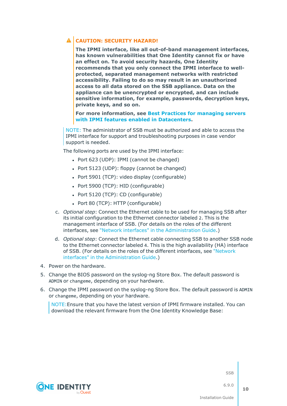### **CAUTION: SECURITY HAZARD!**

**The IPMI interface, like all out-of-band management interfaces, has known vulnerabilities that One Identity cannot fix or have an effect on. To avoid security hazards, One Identity recommends that you only connect the IPMI interface to wellprotected, separated management networks with restricted accessibility. Failing to do so may result in an unauthorized access to all data stored on the SSB appliance. Data on the appliance can be unencrypted or encrypted, and can include sensitive information, for example, passwords, decryption keys, private keys, and so on.**

**For more information, see Best Practices for [managing](https://www.supermicro.com/products/nfo/files/IPMI/Best_Practices_BMC_Security.pdf) servers with IPMI features enabled in [Datacenters](https://www.supermicro.com/products/nfo/files/IPMI/Best_Practices_BMC_Security.pdf).**

NOTE: The administrator of SSB must be authorized and able to access the IPMI interface for support and troubleshooting purposes in case vendor support is needed.

The following ports are used by the IPMI interface:

- Port 623 (UDP): IPMI (cannot be changed)
- Port  $5123$  (UDP): floppy (cannot be changed)
- $\bullet$  Port 5901 (TCP): video display (configurable)
- Port 5900 (TCP): HID (configurable)
- Port 5120 (TCP): CD (configurable)
- Port 80 (TCP): HTTP (configurable)
- c. *Optional step*: Connect the Ethernet cable to be used for managing SSB after its initial configuration to the Ethernet connector labeled 2. This is the management interface of SSB. (For details on the roles of the different interfaces, see "Network interfaces" in the [Administration](https://support.oneidentity.com/technical-documents/syslog-ng-store-box/6.9.0/administration-guide/the-concepts-of-ssb/network-interfaces/) Guide.)
- d. *Optional step*: Connect the Ethernet cable connecting SSB to another SSB node to the Ethernet connector labeled 4. This is the high availability (HA) interface of SSB. (For details on the roles of the different interfaces, see ["Network](https://support.oneidentity.com/technical-documents/syslog-ng-store-box/6.9.0/administration-guide/the-concepts-of-ssb/network-interfaces/) interfaces" in the [Administration](https://support.oneidentity.com/technical-documents/syslog-ng-store-box/6.9.0/administration-guide/the-concepts-of-ssb/network-interfaces/) Guide.)
- 4. Power on the hardware.
- 5. Change the BIOS password on the syslog-ng Store Box. The default password is ADMIN or changeme, depending on your hardware.
- 6. Change the IPMI password on the syslog-ng Store Box. The default password is ADMIN or changeme, depending on your hardware.

NOTE:Ensure that you have the latest version of IPMI firmware installed. You can download the relevant firmware from the One Identity Knowledge Base:



**SSB** 

6.9.0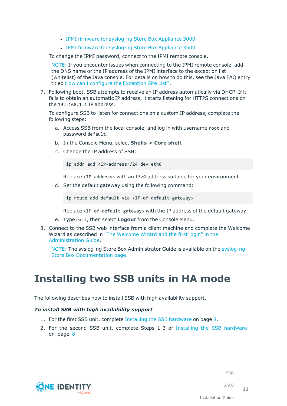- IPMI firmware for [syslog-ng](https://support.oneidentity.com//kb/259247) Store Box Appliance 3000
- IPMI firmware for [syslog-ng](https://support.oneidentity.com//kb/259251) Store Box Appliance 3500

To change the IPMI password, connect to the IPMI remote console.

NOTE: If you encounter issues when connecting to the IPMI remote console, add the DNS name or the IP address of the IPMI interface to the exception list (whitelist) of the Java console. For details on how to do this, see the Java FAQ entry titled How can I configure the [Exception](https://www.java.com/en/download/faq/exception_sitelist.xml) Site List?.

7. Following boot, SSB attempts to receive an IP address automatically via DHCP. If it fails to obtain an automatic IP address, it starts listening for HTTPS connections on the 192.168.1.1 IP address.

To configure SSB to listen for connections on a custom IP address, complete the following steps:

- a. Access SSB from the local console, and log in with username root and password default.
- b. In the Console Menu, select **Shells > Core shell**.
- c. Change the IP address of SSB:

ip addr add <IP-address>/24 dev eth0

Replace <IP-address> with an IPv4 address suitable for your environment.

d. Set the default gateway using the following command:

ip route add default via <IP-of-default-gateway>

Replace <IP-of-default-gateway> with the IP address of the default gateway.

- e. Type exit, then select **Logout** from the Console Menu.
- 8. Connect to the SSB web interface from a client machine and complete the Welcome Wizard as described in "The [Welcome](https://support.oneidentity.com/technical-documents/syslog-ng-store-box/6.9.0/administration-guide/) Wizard and the first login" in the [Administration](https://support.oneidentity.com/technical-documents/syslog-ng-store-box/6.9.0/administration-guide/) Guide.

NOTE: The syslog-ng Store Box Administrator Guide is available on the [syslog-ng](https://support.oneidentity.com/syslog-ng-store-box/technical-documents) Store Box [Documentation](https://support.oneidentity.com/syslog-ng-store-box/technical-documents) page.

### <span id="page-10-0"></span>**Installing two SSB units in HA mode**

The following describes how to install SSB with high availability support.

#### *To install SSB with high availability support*

- 1. For the first SSB unit, complete Installing the SSB [hardware](#page-7-1) on page 8.
- 2. For the second SSB unit, complete Steps 1-3 of Installing the SSB [hardware](#page-7-1) on [page](#page-7-1) 8.



**SSB** 

6.9.0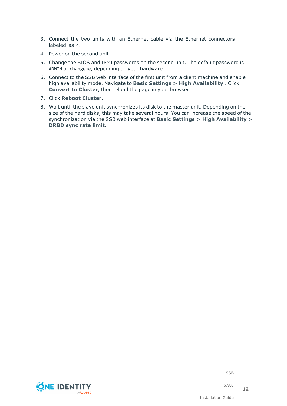- 3. Connect the two units with an Ethernet cable via the Ethernet connectors labeled as 4.
- 4. Power on the second unit.
- 5. Change the BIOS and IPMI passwords on the second unit. The default password is ADMIN or changeme, depending on your hardware.
- 6. Connect to the SSB web interface of the first unit from a client machine and enable high availability mode. Navigate to **Basic Settings > High Availability** . Click **Convert to Cluster**, then reload the page in your browser.
- 7. Click **Reboot Cluster**.
- 8. Wait until the slave unit synchronizes its disk to the master unit. Depending on the size of the hard disks, this may take several hours. You can increase the speed of the synchronization via the SSB web interface at **Basic Settings > High Availability > DRBD sync rate limit**.

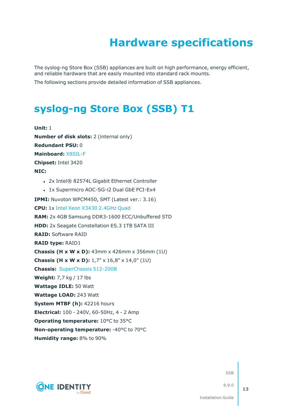## **Hardware specifications**

<span id="page-12-0"></span>The syslog-ng Store Box (SSB) appliances are built on high performance, energy efficient, and reliable hardware that are easily mounted into standard rack mounts.

<span id="page-12-1"></span>The following sections provide detailed information of SSB appliances.

### **[syslog-ng](https://www.supermicro.com/products/system/1u/5016/sys-5016i-mr.cfm) Store Box (SSB) T1**

**Unit:** 1 **Number of disk slots:** 2 (internal only) **Redundant PSU:** 0 **Mainboard:** [X8SIL-F](https://www.supermicro.com/products/motherboard/xeon3000/3400/X8SIL.cfm) **Chipset:** Intel 3420 **NIC:** • 2x Intel® 82574L Gigabit Ethernet Controller • 1x Supermicro AOC-SG-i2 Dual GbE PCI-Ex4 **IPMI:** Nuvoton WPCM450, SMT (Latest ver.: 3.16) **CPU:** 1x Intel Xeon X3430 [2.4GHz](https://ark.intel.com/products/42927) Quad **RAM:** 2x 4GB Samsung DDR3-1600 ECC/Unbuffered STD **HDD:** 2x Seagate Constellation ES.3 1TB SATA III **RAID:** Software RAID **RAID type:** RAID1 **Chassis (H x W x D):** 43mm x 426mm x 356mm (1U) **Chassis (H x W x D):** 1,7" x 16,8" x 14,0" (1U) **Chassis:** [SuperChassis](https://www.supermicro.com/products/chassis/1U/512/SC512-200.cfm) 512-200B **Weight:** 7,7 kg / 17 lbs **Wattage IDLE:** 50 Watt **Wattage LOAD:** 243 Watt **System MTBF (h):** 42216 hours **Electrical:** 100 - 240V, 60-50Hz, 4 - 2 Amp **Operating temperature:** 10°C to 35°C **Non-operating temperature:** -40°C to 70°C **Humidity range:** 8% to 90%



SSB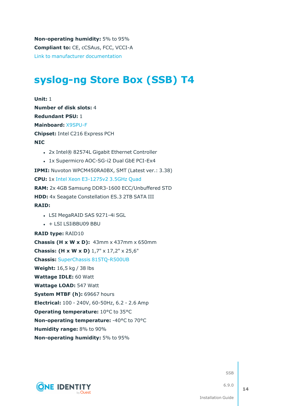**Non-operating humidity:** 5% to 95% **Compliant to:** CE, cCSAus, FCC, VCCI-A Link to manufacturer [documentation](https://www.supermicro.com/products/system/1u/5016/sys-5016i-mr.cfm)

### <span id="page-13-0"></span>**[syslog-ng](https://www.supermicro.com/products/system/1u/5017/sys-5017c-urf.cfm) Store Box (SSB) T4**

**Unit:** 1 **Number of disk slots:** 4 **Redundant PSU:** 1 **Mainboard:** [X9SPU-F](https://www.supermicro.com/products/motherboard/Xeon/C216/X9SPU-F.cfm) **Chipset:** Intel C216 Express PCH **NIC** • 2x Intel® 82574L Gigabit Ethernet Controller • 1x Supermicro AOC-SG-i2 Dual GbE PCI-Ex4 **IPMI:** Nuvoton WPCM450RA0BX, SMT (Latest ver.: 3.38) **CPU:** 1x Intel Xeon [E3-1275v2](https://ark.intel.com/products/65726) 3.5GHz Quad **RAM:** 2x 4GB Samsung DDR3-1600 ECC/Unbuffered STD **HDD:** 4x Seagate Constellation ES.3 2TB SATA III **RAID:** • LSI MegaRAID SAS 9271-4i SGL  $\cdot$  + LSI LSIiBBU09 BBU **RAID type:** RAID10 **Chassis (H x W x D):** 43mm x 437mm x 650mm **Chassis: (H x W x D)** 1,7" x 17,2" x 25,6" **Chassis:** SuperChassis [815TQ-R500UB](https://www.supermicro.com/products/chassis/1U/815/SC815TQ-R500U.cfm) **Weight:** 16,5 kg / 38 lbs **Wattage IDLE:** 60 Watt **Wattage LOAD:** 547 Watt **System MTBF (h):** 69667 hours **Electrical:** 100 - 240V, 60-50Hz, 6.2 - 2.6 Amp **Operating temperature:** 10°C to 35°C **Non-operating temperature:** -40°C to 70°C **Humidity range:** 8% to 90% **Non-operating humidity:** 5% to 95%



**SSB**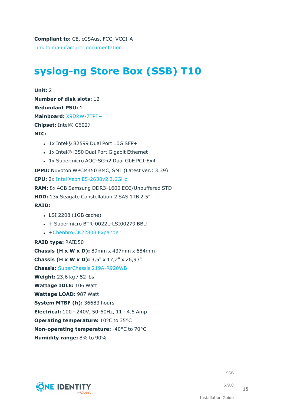## <span id="page-14-0"></span>**[syslog-ng](https://www.supermicro.com/products/system/2u/2027/sys-2027r-72rftp_.cfm) Store Box (SSB) T10**

**Unit:** 2 **Number of disk slots:** 12 **Redundant PSU:** 1 **Mainboard:** [X9DRW-7TPF+](https://www.supermicro.com/products/motherboard/Xeon/C600/X9DRW-7TPF_.cfm) **Chipset:** Intel® C602J **NIC:**

- $\cdot$  1x Intel® 82599 Dual Port 10G SFP+
- 1x Intel® i350 Dual Port Gigabit Ethernet
- 1x Supermicro AOC-SG-i2 Dual GbE PCI-Ex4

**IPMI:** Nuvoton WPCM450 BMC, SMT (Latest ver.: 3.39)

**CPU:** 2x Intel Xeon [E5-2630v2](https://ark.intel.com/products/75790) 2.6GHz

**RAM:** 8x 4GB Samsung DDR3-1600 ECC/Unbuffered STD

**HDD:** 13x Seagate Constellation.2 SAS 1TB 2.5"

#### **RAID:**

- LSI 2208 (1GB cache)
- $\cdot$  + Supermicro BTR-0022L-LSI00279 BBU
- +Chenbro CK22803 [Expander](https://www.chenbro.com/en-global/products/Storage_Expansion_Kit/SAS_Expander_Card/CK22803)

#### **RAID type:** RAID50





**SSB**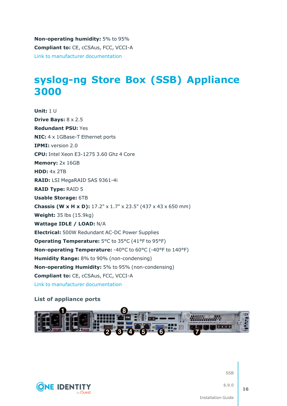**Non-operating humidity:** 5% to 95% **Compliant to:** CE, cCSAus, FCC, VCCI-A Link to manufacturer [documentation](https://www.supermicro.com/products/system/2u/2027/sys-2027r-72rftp_.cfm)

### <span id="page-15-0"></span>**syslog-ng Store Box (SSB) [Appliance](https://www.supermicro.com/en/products/system/1U/5019/SYS-5019S-WR.cfm) [3000](https://www.supermicro.com/en/products/system/1U/5019/SYS-5019S-WR.cfm)**

**Unit:** 1 U **Drive Bays:** 8 x 2.5 **Redundant PSU:** Yes **NIC:** 4 x 1GBase-T Ethernet ports **IPMI:** version 2.0 **CPU:** Intel Xeon E3-1275 3.60 Ghz 4 Core **Memory:** 2x 16GB **HDD:** 4x 2TB **RAID:** LSI MegaRAID SAS 9361-4i **RAID Type:** RAID 5 **Usable Storage:** 6TB **Chassis (W x H x D):** 17.2" x 1.7" x 23.5" (437 x 43 x 650 mm) **Weight:** 35 lbs (15.9kg) **Wattage IDLE / LOAD:** N/A **Electrical:** 500W Redundant AC-DC Power Supplies **Operating Temperature:** 5°C to 35°C (41°F to 95°F) **Non-operating Temperature:** -40°C to 60°C (-40°F to 140°F) **Humidity Range:** 8% to 90% (non-condensing) **Non-operating Humidity:** 5% to 95% (non-condensing) **Compliant to:** CE, cCSAus, FCC, VCCI-A Link to manufacturer [documentation](https://www.supermicro.com/en/products/system/1U/5019/SYS-5019S-WR.cfm)

#### **List of appliance ports**



**CONE IDENTIT** 

**SSB** 

6.9.0

**16**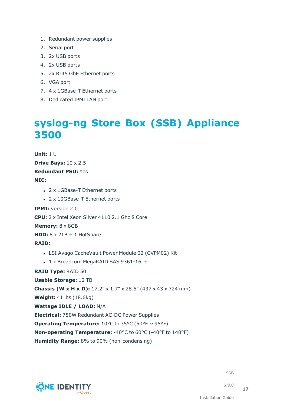- 1. Redundant power supplies
- 2. Serial port
- 3. 2x USB ports
- 4. 2x USB ports
- 5. 2x RJ45 GbE Ethernet ports
- 6. VGA port
- 7. 4 x 1GBase-T Ethernet ports
- <span id="page-16-0"></span>8. Dedicated IPMI LAN port

### **syslog-ng Store Box (SSB) [Appliance](https://www.supermicro.com/en/products/system/1U/1029/SYS-1029U-TRT.cfm) [3500](https://www.supermicro.com/en/products/system/1U/1029/SYS-1029U-TRT.cfm)**

**Unit:** 1 U **Drive Bays:** 10 x 2.5 **Redundant PSU:** Yes **NIC:** • 2 x 1GBase-T Ethernet ports • 2 x 10GBase-T Ethernet ports **IPMI:** version 2.0 **CPU:** 2 x Intel Xeon Silver 4110 2.1 Ghz 8 Core **Memory:** 8 x 8GB **HDD:** 8 x 2TB + 1 HotSpare **RAID:** • LSI Avago CacheVault Power Module 02 (CVPM02) Kit <sup>l</sup> 1 x Broadcom MegaRAID SAS 9361-16i + **RAID Type:** RAID 50 **Usable Storage:** 12 TB **Chassis (W x H x D):** 17.2" x 1.7" x 28.5" (437 x 43 x 724 mm) **Weight:** 41 lbs (18.6kg) **Wattage IDLE / LOAD:** N/A **Electrical:** 750W Redundant AC-DC Power Supplies **Operating Temperature:**  $10^{\circ}$ C to  $35^{\circ}$ C (50 $^{\circ}$ F ~ 95 $^{\circ}$ F) **Non-operating Temperature:** -40°C to 60°C (-40°F to 140°F) **Humidity Range:** 8% to 90% (non-condensing)



**SSB**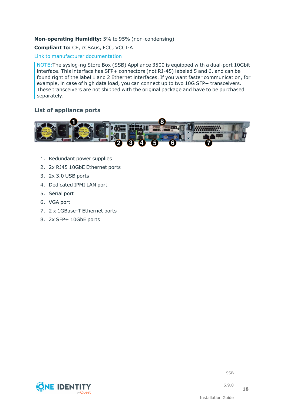#### **Non-operating Humidity:** 5% to 95% (non-condensing)

#### **Compliant to:** CE, cCSAus, FCC, VCCI-A

#### Link to manufacturer [documentation](https://www.supermicro.com/en/products/system/1U/1029/SYS-1029U-TRT.cfm)

NOTE:The syslog-ng Store Box (SSB) Appliance 3500 is equipped with a dual-port 10Gbit interface. This interface has SFP+ connectors (not RJ-45) labeled 5 and 6, and can be found right of the label 1 and 2 Ethernet interfaces. If you want faster communication, for example, in case of high data load, you can connect up to two 10G SFP+ transceivers. These transceivers are not shipped with the original package and have to be purchased separately.

#### **List of appliance ports**



- 1. Redundant power supplies
- 2. 2x RJ45 10GbE Ethernet ports
- 3. 2x 3.0 USB ports
- 4. Dedicated IPMI LAN port
- 5. Serial port
- 6. VGA port
- 7. 2 x 1GBase-T Ethernet ports
- 8. 2x SFP+ 10GbE ports



SSB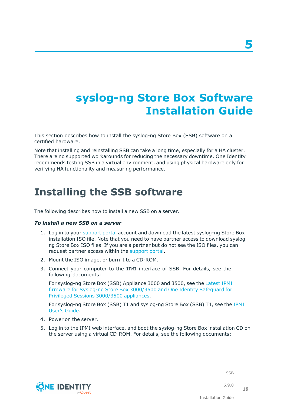## <span id="page-18-0"></span>**syslog-ng Store Box Software Installation Guide**

This section describes how to install the syslog-ng Store Box (SSB) software on a certified hardware.

Note that installing and reinstalling SSB can take a long time, especially for a HA cluster. There are no supported workarounds for reducing the necessary downtime. One Identity recommends testing SSB in a virtual environment, and using physical hardware only for verifying HA functionality and measuring performance.

### <span id="page-18-1"></span>**Installing the SSB software**

The following describes how to install a new SSB on a server.

#### *To install a new SSB on a server*

- 1. Log in to your [support](https://support.oneidentity.com/en-US/Login) portal account and download the latest syslog-ng Store Box installation ISO file. Note that you need to have partner access to download syslogng Store Box ISO files. If you are a partner but do not see the ISO files, you can request partner access within the [support](https://support.oneidentity.com/en-US/Login) portal.
- 2. Mount the ISO image, or burn it to a CD-ROM.
- 3. Connect your computer to the IPMI interface of SSB. For details, see the following documents:

For syslog-ng Store Box (SSB) Appliance 3000 and 3500, see the [Latest](https://support.oneidentity.com/kb/312276/) IPMI firmware for Syslog-ng Store Box [3000/3500](https://support.oneidentity.com/kb/312276/) and One Identity Safeguard for Privileged Sessions [3000/3500](https://support.oneidentity.com/kb/312276/) appliances.

For syslog-ng Store Box (SSB) T1 and syslog-ng Store Box (SSB) T4, see the [IPMI](https://www.supermicro.com/manuals/other/IPMI_Users_Guide.pdf) [User's](https://www.supermicro.com/manuals/other/IPMI_Users_Guide.pdf) Guide.

- 4. Power on the server.
- 5. Log in to the IPMI web interface, and boot the syslog-ng Store Box installation CD on the server using a virtual CD-ROM. For details, see the following documents:

SSB



6.9.0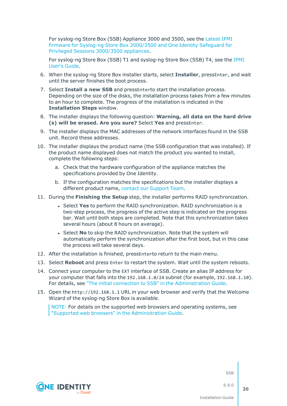For syslog-ng Store Box (SSB) Appliance 3000 and 3500, see the [Latest](https://support.oneidentity.com/kb/312276/) IPMI firmware for Syslog-ng Store Box [3000/3500](https://support.oneidentity.com/kb/312276/) and One Identity Safeguard for Privileged Sessions [3000/3500](https://support.oneidentity.com/kb/312276/) appliances.

For syslog-ng Store Box (SSB) T1 and syslog-ng Store Box (SSB) T4, see the [IPMI](https://www.supermicro.com/manuals/other/IPMI_Users_Guide.pdf) [User's](https://www.supermicro.com/manuals/other/IPMI_Users_Guide.pdf) Guide.

- 6. When the syslog-ng Store Box installer starts, select **Installer**, pressEnter, and wait until the server finishes the boot process.
- 7. Select **Install a new SSB** and pressEnterto start the installation process. Depending on the size of the disks, the installation process takes from a few minutes to an hour to complete. The progress of the installation is indicated in the **Installation Steps** window.
- 8. The installer displays the following question: **Warning, all data on the hard drive (s) will be erased. Are you sure?** Select **Yes** and pressEnter.
- 9. The installer displays the MAC addresses of the network interfaces found in the SSB unit. Record these addresses.
- 10. The installer displays the product name (the SSB configuration that was installed). If the product name displayed does not match the product you wanted to install, complete the following steps:
	- a. Check that the hardware configuration of the appliance matches the specifications provided by One Identity.
	- b. If the configuration matches the specifications but the installer displays a different product name, contact our [Support](https://support.oneidentity.com/syslog-ng-store-box/) Team.
- 11. During the **Finishing the Setup** step, the installer performs RAID synchronization.
	- <sup>l</sup> Select **Yes** to perform the RAID synchronization. RAID synchronization is a two-step process, the progress of the active step is indicated on the progress bar. Wait until both steps are completed. Note that this synchronization takes several hours (about 8 hours on average).
	- <sup>l</sup> Select **No** to skip the RAID synchronization. Note that the system will automatically perform the synchronization after the first boot, but in this case the process will take several days.
- 12. After the installation is finished, pressEnterto return to the main menu.
- 13. Select **Reboot** and press Enter to restart the system. Wait until the system reboots.
- 14. Connect your computer to the EXT interface of SSB. Create an alias IP address for your computer that falls into the 192.168.1.0/24 subnet (for example, 192.168.1.10). For details, see "The initial connection to SSB" in the [Administration](https://support.oneidentity.com/technical-documents/syslog-ng-store-box/6.9.0/administration-guide/the-welcome-wizard-and-the-first-login/the-initial-connection-to-ssb/) Guide.
- 15. Open the http://192.168.1.1 URL in your web browser and verify that the Welcome Wizard of the syslog-ng Store Box is available.

NOTE: For details on the supported web browsers and operating systems, see "Supported web browsers" in the [Administration](https://support.oneidentity.com/technical-documents/syslog-ng-store-box/6.9.0/administration-guide/basic-settings/supported-web-browsers/) Guide.



SSB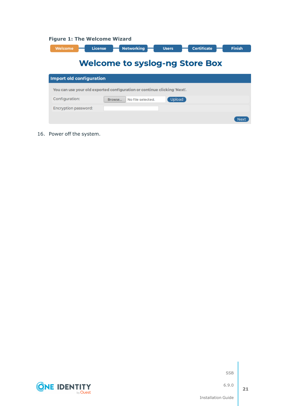|  |  |  | <b>Figure 1: The Welcome Wizard</b> |  |
|--|--|--|-------------------------------------|--|
|--|--|--|-------------------------------------|--|

| Welcome                               | <b>Certificate</b><br><b>Networking</b><br><b>License</b><br><b>Users</b> | <b>Finish</b> |  |  |  |  |
|---------------------------------------|---------------------------------------------------------------------------|---------------|--|--|--|--|
| <b>Welcome to syslog-ng Store Box</b> |                                                                           |               |  |  |  |  |
| <b>Import old configuration</b>       |                                                                           |               |  |  |  |  |
|                                       | You can use your old exported configuration or continue clicking 'Next'.  |               |  |  |  |  |
| Configuration:                        | Upload<br>No file selected.<br>Browse                                     |               |  |  |  |  |
| Encryption password:                  |                                                                           |               |  |  |  |  |
|                                       |                                                                           |               |  |  |  |  |

16. Power off the system.

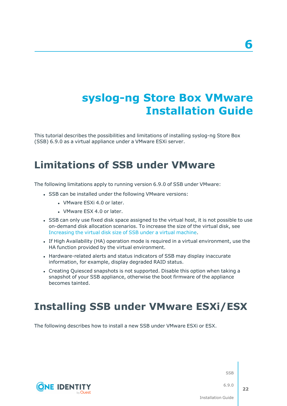## <span id="page-21-0"></span>**syslog-ng Store Box VMware Installation Guide**

This tutorial describes the possibilities and limitations of installing syslog-ng Store Box (SSB) 6.9.0 as a virtual appliance under a VMware ESXi server.

### <span id="page-21-1"></span>**Limitations of SSB under VMware**

The following limitations apply to running version 6.9.0 of SSB under VMware:

- SSB can be installed under the following VMware versions:
	- VMware ESXi 4.0 or later.
	- VMware ESX 4.0 or later.
- SSB can only use fixed disk space assigned to the virtual host, it is not possible to use on-demand disk allocation scenarios. To increase the size of the virtual disk, see [Increasing](#page-27-0) the virtual disk size of SSB under a virtual machine.
- If High Availability (HA) operation mode is required in a virtual environment, use the HA function provided by the virtual environment.
- Hardware-related alerts and status indicators of SSB may display inaccurate information, for example, display degraded RAID status.
- Creating Quiesced snapshots is not supported. Disable this option when taking a snapshot of your SSB appliance, otherwise the boot firmware of the appliance becomes tainted.

### <span id="page-21-2"></span>**Installing SSB under VMware ESXi/ESX**

The following describes how to install a new SSB under VMware ESXi or ESX.

SSB



6.9.0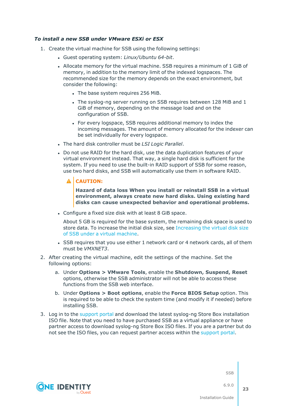#### *To install a new SSB under VMware ESXi or ESX*

- 1. Create the virtual machine for SSB using the following settings:
	- <sup>l</sup> Guest operating system: *Linux/Ubuntu 64-bit*.
	- Allocate memory for the virtual machine. SSB requires a minimum of 1 GiB of memory, in addition to the memory limit of the indexed logspaces. The recommended size for the memory depends on the exact environment, but consider the following:
		- The base system requires 256 MiB.
		- The syslog-ng server running on SSB requires between 128 MiB and 1 GiB of memory, depending on the message load and on the configuration of SSB.
		- For every logspace, SSB requires additional memory to index the incoming messages. The amount of memory allocated for the indexer can be set individually for every logspace.
	- <sup>l</sup> The hard disk controller must be *LSI Logic Parallel*.
	- Do not use RAID for the hard disk, use the data duplication features of your virtual environment instead. That way, a single hard disk is sufficient for the system. If you need to use the built-in RAID support of SSB for some reason, use two hard disks, and SSB will automatically use them in software RAID.

#### **CAUTION:**

**Hazard of data loss When you install or reinstall SSB in a virtual environment, always create new hard disks. Using existing hard disks can cause unexpected behavior and operational problems.**

• Configure a fixed size disk with at least 8 GiB space.

About 5 GB is required for the base system, the remaining disk space is used to store data. To increase the initial disk size, see [Increasing](#page-27-0) the virtual disk size of SSB under a virtual [machine](#page-27-0).

- SSB requires that you use either 1 network card or 4 network cards, all of them must be *VMXNET3*.
- 2. After creating the virtual machine, edit the settings of the machine. Set the following options:
	- a. Under **Options > VMware Tools**, enable the **Shutdown, Suspend, Reset** options, otherwise the SSB administrator will not be able to access these functions from the SSB web interface.
	- b. Under **Options > Boot options**, enable the **Force BIOS Setup** option. This is required to be able to check the system time (and modify it if needed) before installing SSB.
- 3. Log in to the [support](https://support.oneidentity.com/en-US/Login) portal and download the latest syslog-ng Store Box installation ISO file. Note that you need to have purchased SSB as a virtual appliance or have partner access to download syslog-ng Store Box ISO files. If you are a partner but do not see the ISO files, you can request partner access within the [support](https://support.oneidentity.com/en-US/Login) portal.



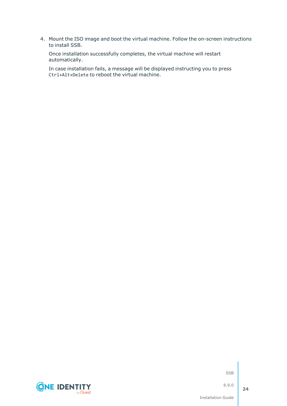4. Mount the ISO image and boot the virtual machine. Follow the on-screen instructions to install SSB.

Once installation successfully completes, the virtual machine will restart automatically.

In case installation fails, a message will be displayed instructing you to press Ctrl+Alt+Delete to reboot the virtual machine.



SSB

6.9.0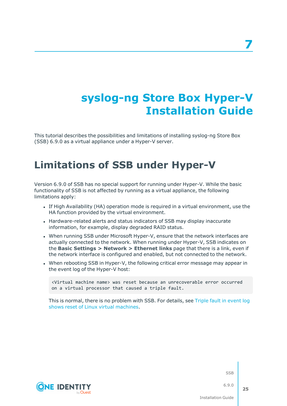## <span id="page-24-0"></span>**syslog-ng Store Box Hyper-V Installation Guide**

This tutorial describes the possibilities and limitations of installing syslog-ng Store Box (SSB) 6.9.0 as a virtual appliance under a Hyper-V server.

### <span id="page-24-1"></span>**Limitations of SSB under Hyper-V**

Version 6.9.0 of SSB has no special support for running under Hyper-V. While the basic functionality of SSB is not affected by running as a virtual appliance, the following limitations apply:

- If High Availability (HA) operation mode is required in a virtual environment, use the HA function provided by the virtual environment.
- Hardware-related alerts and status indicators of SSB may display inaccurate information, for example, display degraded RAID status.
- When running SSB under Microsoft Hyper-V, ensure that the network interfaces are actually connected to the network. When running under Hyper-V, SSB indicates on the **Basic Settings > Network > Ethernet links** page that there is a link, even if the network interface is configured and enabled, but not connected to the network.
- When rebooting SSB in Hyper-V, the following critical error message may appear in the event log of the Hyper-V host:

<Virtual machine name> was reset because an unrecoverable error occurred on a virtual processor that caused a triple fault.

This is normal, there is no problem with SSB. For details, see Triple fault in [event](https://support.microsoft.com/en-us/help/2711608/triple-fault-in-event-log-shows-reset-of-linux-virtual-machines) log shows reset of Linux virtual [machines](https://support.microsoft.com/en-us/help/2711608/triple-fault-in-event-log-shows-reset-of-linux-virtual-machines).



**SSB**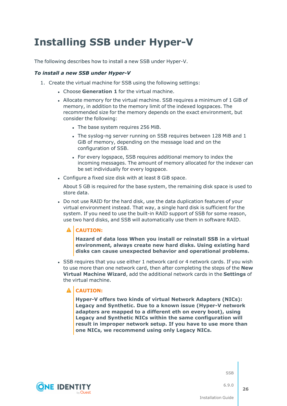## <span id="page-25-0"></span>**Installing SSB under Hyper-V**

The following describes how to install a new SSB under Hyper-V.

#### *To install a new SSB under Hyper-V*

- 1. Create the virtual machine for SSB using the following settings:
	- **.** Choose Generation 1 for the virtual machine.
	- Allocate memory for the virtual machine. SSB requires a minimum of 1 GiB of memory, in addition to the memory limit of the indexed logspaces. The recommended size for the memory depends on the exact environment, but consider the following:
		- The base system requires 256 MiB.
		- The syslog-ng server running on SSB requires between 128 MiB and 1 GiB of memory, depending on the message load and on the configuration of SSB.
		- For every logspace, SSB requires additional memory to index the incoming messages. The amount of memory allocated for the indexer can be set individually for every logspace.
	- Configure a fixed size disk with at least 8 GiB space.

About 5 GB is required for the base system, the remaining disk space is used to store data.

• Do not use RAID for the hard disk, use the data duplication features of your virtual environment instead. That way, a single hard disk is sufficient for the system. If you need to use the built-in RAID support of SSB for some reason, use two hard disks, and SSB will automatically use them in software RAID.

#### **A** CAUTION:

**Hazard of data loss When you install or reinstall SSB in a virtual environment, always create new hard disks. Using existing hard disks can cause unexpected behavior and operational problems.**

• SSB requires that you use either 1 network card or 4 network cards. If you wish to use more than one network card, then after completing the steps of the **New Virtual Machine Wizard**, add the additional network cards in the **Settings** of the virtual machine.

#### A **CAUTION:**

**Hyper-V offers two kinds of virtual Network Adapters (NICs): Legacy and Synthetic. Due to a known issue (Hyper-V network adapters are mapped to a different eth on every boot), using Legacy and Synthetic NICs within the same configuration will result in improper network setup. If you have to use more than one NICs, we recommend using only Legacy NICs.**



SSB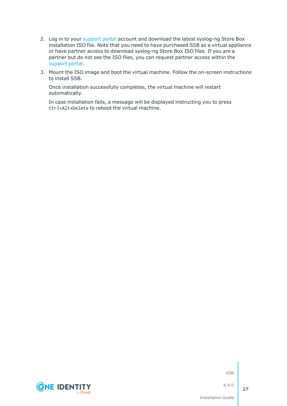- 2. Log in to your [support](https://support.oneidentity.com/en-US/Login) portal account and download the latest syslog-ng Store Box installation ISO file. Note that you need to have purchased SSB as a virtual appliance or have partner access to download syslog-ng Store Box ISO files. If you are a partner but do not see the ISO files, you can request partner access within the [support](https://support.oneidentity.com/en-US/Login) portal.
- 3. Mount the ISO image and boot the virtual machine. Follow the on-screen instructions to install SSB.

Once installation successfully completes, the virtual machine will restart automatically.

In case installation fails, a message will be displayed instructing you to press Ctrl+Alt+Delete to reboot the virtual machine.

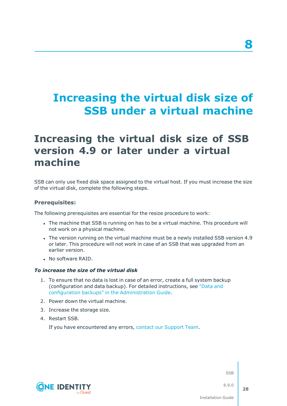## <span id="page-27-0"></span>**Increasing the virtual disk size of SSB under a virtual machine**

### <span id="page-27-1"></span>**Increasing the virtual disk size of SSB version 4.9 or later under a virtual machine**

SSB can only use fixed disk space assigned to the virtual host. If you must increase the size of the virtual disk, complete the following steps.

#### **Prerequisites:**

The following prerequisites are essential for the resize procedure to work:

- The machine that SSB is running on has to be a virtual machine. This procedure will not work on a physical machine.
- The version running on the virtual machine must be a newly installed SSB version 4.9 or later. This procedure will not work in case of an SSB that was upgraded from an earlier version.
- . No software RAID.

#### *To increase the size of the virtual disk*

- 1. To ensure that no data is lost in case of an error, create a full system backup (configuration and data backup). For detailed instructions, see ["Data](https://support.oneidentity.com/technical-documents/syslog-ng-store-box/6.9.0/administration-guide/basic-settings/data-and-configuration-backups/) and configuration backups" in the [Administration](https://support.oneidentity.com/technical-documents/syslog-ng-store-box/6.9.0/administration-guide/basic-settings/data-and-configuration-backups/) Guide.
- 2. Power down the virtual machine.
- 3. Increase the storage size.
- 4. Restart SSB.

If you have encountered any errors, contact our [Support](https://support.oneidentity.com/syslog-ng-store-box/) Team.



SSB

6.9.0

**28**